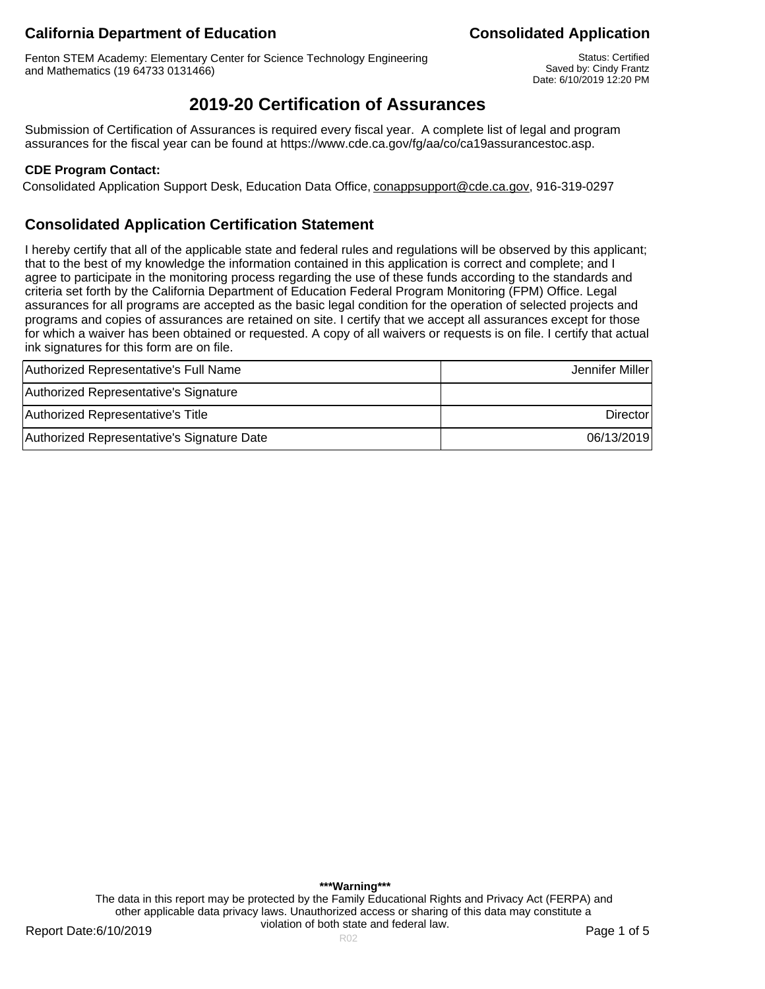# **California Department of Education Consolidated Application**

Fenton STEM Academy: Elementary Center for Science Technology Engineering and Mathematics (19 64733 0131466)

Status: Certified Saved by: Cindy Frantz Date: 6/10/2019 12:20 PM

# **2019-20 Certification of Assurances**

Submission of Certification of Assurances is required every fiscal year. A complete list of legal and program assurances for the fiscal year can be found at https://www.cde.ca.gov/fg/aa/co/ca19assurancestoc.asp.

### **CDE Program Contact:**

Consolidated Application Support Desk, Education Data Office, conappsupport@cde.ca.gov, 916-319-0297

## **Consolidated Application Certification Statement**

I hereby certify that all of the applicable state and federal rules and regulations will be observed by this applicant; that to the best of my knowledge the information contained in this application is correct and complete; and I agree to participate in the monitoring process regarding the use of these funds according to the standards and criteria set forth by the California Department of Education Federal Program Monitoring (FPM) Office. Legal assurances for all programs are accepted as the basic legal condition for the operation of selected projects and programs and copies of assurances are retained on site. I certify that we accept all assurances except for those for which a waiver has been obtained or requested. A copy of all waivers or requests is on file. I certify that actual ink signatures for this form are on file.

| Authorized Representative's Full Name      | Jennifer Miller |
|--------------------------------------------|-----------------|
| Authorized Representative's Signature      |                 |
| Authorized Representative's Title          | Director        |
| Authorized Representative's Signature Date | 06/13/2019      |

**\*\*\*Warning\*\*\*** The data in this report may be protected by the Family Educational Rights and Privacy Act (FERPA) and other applicable data privacy laws. Unauthorized access or sharing of this data may constitute a violation of both state and federal law.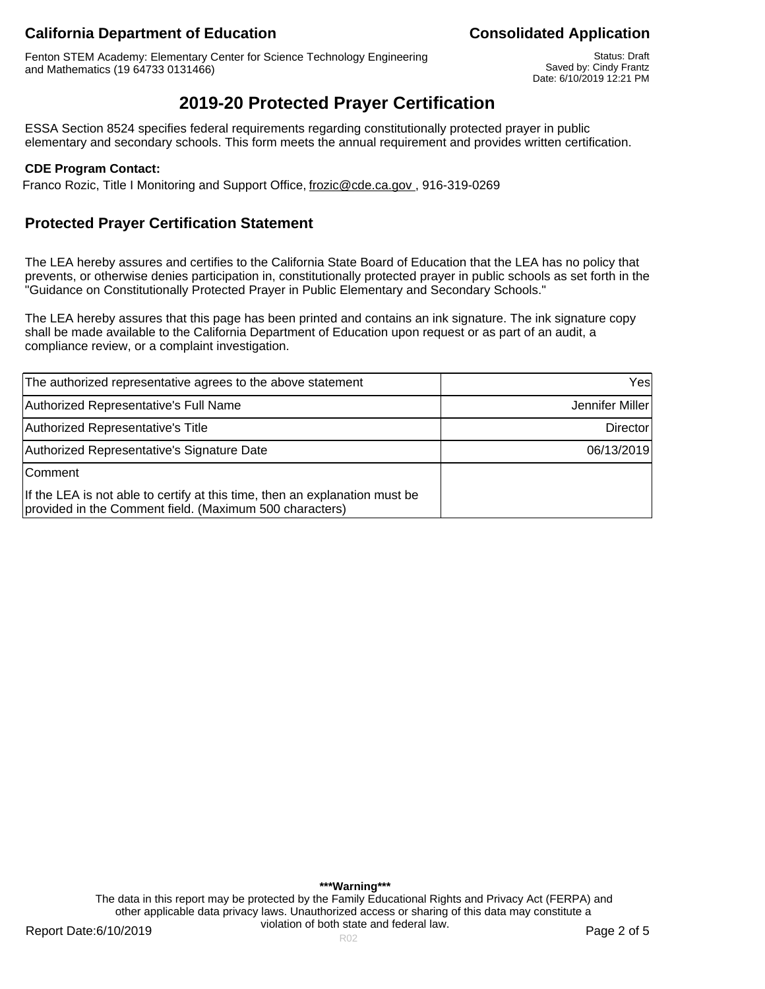# **California Department of Education California Department of Education**

Fenton STEM Academy: Elementary Center for Science Technology Engineering and Mathematics (19 64733 0131466)

Status: Draft Saved by: Cindy Frantz Date: 6/10/2019 12:21 PM

# **2019-20 Protected Prayer Certification**

ESSA Section 8524 specifies federal requirements regarding constitutionally protected prayer in public elementary and secondary schools. This form meets the annual requirement and provides written certification.

### **CDE Program Contact:**

Franco Rozic, Title I Monitoring and Support Office, frozic@cde.ca.gov., 916-319-0269

## **Protected Prayer Certification Statement**

The LEA hereby assures and certifies to the California State Board of Education that the LEA has no policy that prevents, or otherwise denies participation in, constitutionally protected prayer in public schools as set forth in the "Guidance on Constitutionally Protected Prayer in Public Elementary and Secondary Schools."

The LEA hereby assures that this page has been printed and contains an ink signature. The ink signature copy shall be made available to the California Department of Education upon request or as part of an audit, a compliance review, or a complaint investigation.

| The authorized representative agrees to the above statement                                                                            | Yesl            |
|----------------------------------------------------------------------------------------------------------------------------------------|-----------------|
| Authorized Representative's Full Name                                                                                                  | Jennifer Miller |
| Authorized Representative's Title                                                                                                      | Director        |
| Authorized Representative's Signature Date                                                                                             | 06/13/2019      |
| <b>Comment</b>                                                                                                                         |                 |
| If the LEA is not able to certify at this time, then an explanation must be<br>provided in the Comment field. (Maximum 500 characters) |                 |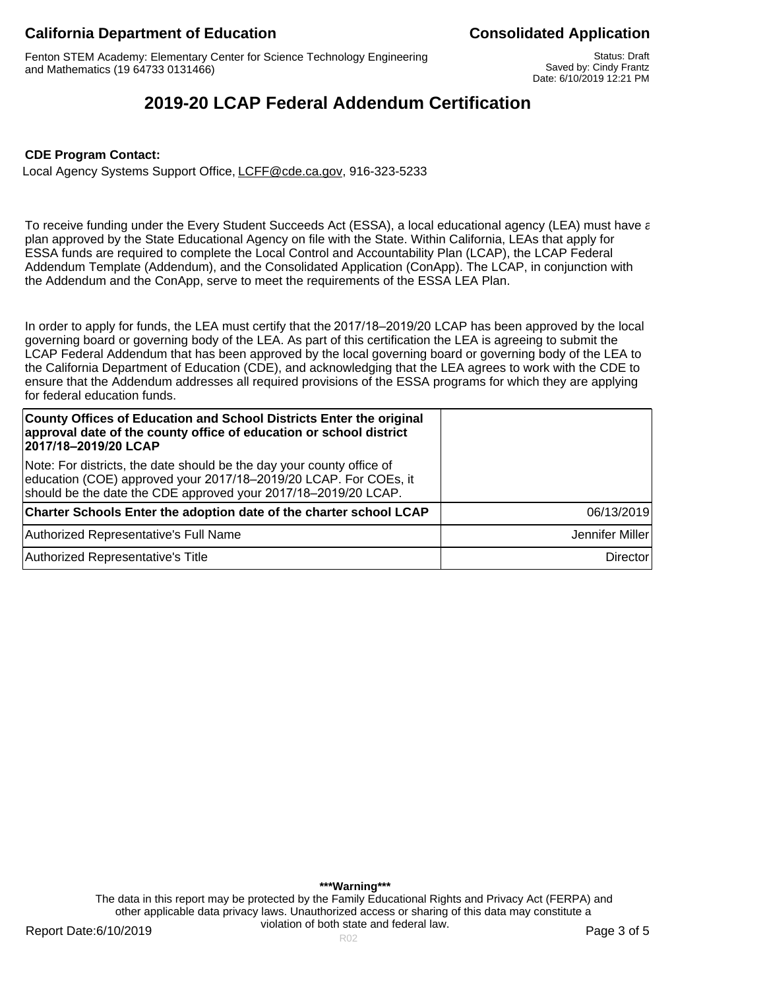# **California Department of Education Consolidated Application**

Fenton STEM Academy: Elementary Center for Science Technology Engineering and Mathematics (19 64733 0131466)

Status: Draft Saved by: Cindy Frantz Date: 6/10/2019 12:21 PM

# **2019-20 LCAP Federal Addendum Certification**

#### **CDE Program Contact:**

Local Agency Systems Support Office, LCFF@cde.ca.gov, 916-323-5233

To receive funding under the Every Student Succeeds Act (ESSA), a local educational agency (LEA) must have a plan approved by the State Educational Agency on file with the State. Within California, LEAs that apply for ESSA funds are required to complete the Local Control and Accountability Plan (LCAP), the LCAP Federal Addendum Template (Addendum), and the Consolidated Application (ConApp). The LCAP, in conjunction with the Addendum and the ConApp, serve to meet the requirements of the ESSA LEA Plan.

In order to apply for funds, the LEA must certify that the 2017/18–2019/20 LCAP has been approved by the local governing board or governing body of the LEA. As part of this certification the LEA is agreeing to submit the LCAP Federal Addendum that has been approved by the local governing board or governing body of the LEA to the California Department of Education (CDE), and acknowledging that the LEA agrees to work with the CDE to ensure that the Addendum addresses all required provisions of the ESSA programs for which they are applying for federal education funds.

| County Offices of Education and School Districts Enter the original<br>approval date of the county office of education or school district<br>2017/18-2019/20 LCAP                                           |                 |
|-------------------------------------------------------------------------------------------------------------------------------------------------------------------------------------------------------------|-----------------|
| Note: For districts, the date should be the day your county office of<br>education (COE) approved your 2017/18-2019/20 LCAP. For COEs, it<br>should be the date the CDE approved your 2017/18-2019/20 LCAP. |                 |
| Charter Schools Enter the adoption date of the charter school LCAP                                                                                                                                          | 06/13/2019      |
| Authorized Representative's Full Name                                                                                                                                                                       | Jennifer Miller |
| Authorized Representative's Title                                                                                                                                                                           | <b>Director</b> |

**\*\*\*Warning\*\*\*** The data in this report may be protected by the Family Educational Rights and Privacy Act (FERPA) and other applicable data privacy laws. Unauthorized access or sharing of this data may constitute a violation of both state and federal law.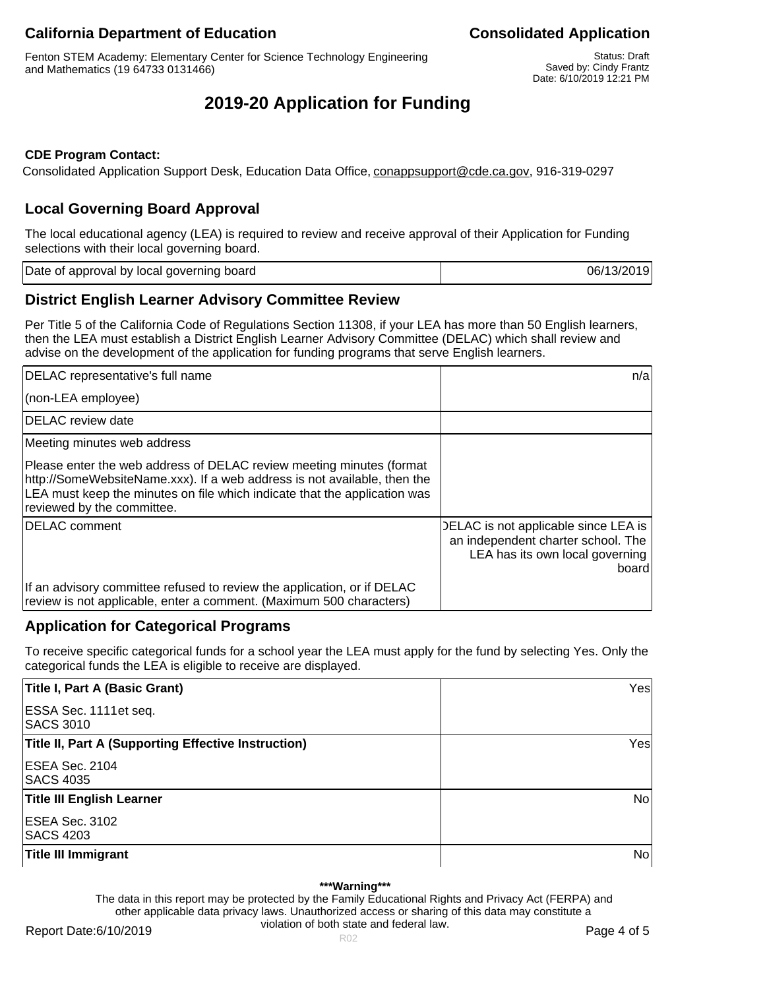# **California Department of Education California Department of Education**

Fenton STEM Academy: Elementary Center for Science Technology Engineering and Mathematics (19 64733 0131466)

Status: Draft Saved by: Cindy Frantz Date: 6/10/2019 12:21 PM

# **2019-20 Application for Funding**

### **CDE Program Contact:**

Consolidated Application Support Desk, Education Data Office, conappsupport@cde.ca.gov, 916-319-0297

# **Local Governing Board Approval**

The local educational agency (LEA) is required to review and receive approval of their Application for Funding selections with their local governing board.

Date of approval by local governing board 06/13/2019

## **District English Learner Advisory Committee Review**

Per Title 5 of the California Code of Regulations Section 11308, if your LEA has more than 50 English learners, then the LEA must establish a District English Learner Advisory Committee (DELAC) which shall review and advise on the development of the application for funding programs that serve English learners.

| DELAC representative's full name                                                                                                                                                                                                                            | n/a                                                                                                                    |
|-------------------------------------------------------------------------------------------------------------------------------------------------------------------------------------------------------------------------------------------------------------|------------------------------------------------------------------------------------------------------------------------|
| (non-LEA employee)                                                                                                                                                                                                                                          |                                                                                                                        |
| DELAC review date                                                                                                                                                                                                                                           |                                                                                                                        |
| Meeting minutes web address                                                                                                                                                                                                                                 |                                                                                                                        |
| Please enter the web address of DELAC review meeting minutes (format<br>http://SomeWebsiteName.xxx). If a web address is not available, then the<br>LEA must keep the minutes on file which indicate that the application was<br>reviewed by the committee. |                                                                                                                        |
| <b>IDELAC</b> comment                                                                                                                                                                                                                                       | DELAC is not applicable since LEA is<br>an independent charter school. The<br>LEA has its own local governing<br>board |
| If an advisory committee refused to review the application, or if DELAC<br>review is not applicable, enter a comment. (Maximum 500 characters)                                                                                                              |                                                                                                                        |

# **Application for Categorical Programs**

To receive specific categorical funds for a school year the LEA must apply for the fund by selecting Yes. Only the categorical funds the LEA is eligible to receive are displayed.

| Title I, Part A (Basic Grant)                              | Yes            |
|------------------------------------------------------------|----------------|
| ESSA Sec. 1111 et seq.<br><b>SACS 3010</b>                 |                |
| <b>Title II, Part A (Supporting Effective Instruction)</b> | Yes            |
| ESEA Sec. 2104<br><b>SACS 4035</b>                         |                |
| <b>Title III English Learner</b>                           | N <sub>o</sub> |
| ESEA Sec. 3102<br><b>SACS 4203</b>                         |                |
| Title III Immigrant                                        | No             |

#### **\*\*\*Warning\*\*\***

The data in this report may be protected by the Family Educational Rights and Privacy Act (FERPA) and other applicable data privacy laws. Unauthorized access or sharing of this data may constitute a violation of both state and federal law.